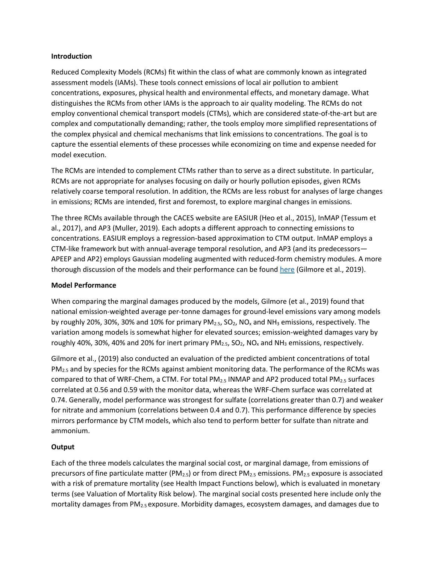#### **Introduction**

Reduced Complexity Models (RCMs) fit within the class of what are commonly known as integrated assessment models (IAMs). These tools connect emissions of local air pollution to ambient concentrations, exposures, physical health and environmental effects, and monetary damage. What distinguishes the RCMs from other IAMs is the approach to air quality modeling. The RCMs do not employ conventional chemical transport models (CTMs), which are considered state-of-the-art but are complex and computationally demanding; rather, the tools employ more simplified representations of the complex physical and chemical mechanisms that link emissions to concentrations. The goal is to capture the essential elements of these processes while economizing on time and expense needed for model execution.

The RCMs are intended to complement CTMs rather than to serve as a direct substitute. In particular, RCMs are not appropriate for analyses focusing on daily or hourly pollution episodes, given RCMs relatively coarse temporal resolution. In addition, the RCMs are less robust for analyses of large changes in emissions; RCMs are intended, first and foremost, to explore marginal changes in emissions.

The three RCMs available through the CACES website are EASIUR (Heo et al., 2015), InMAP (Tessum et al., 2017), and AP3 (Muller, 2019). Each adopts a different approach to connecting emissions to concentrations. EASIUR employs a regression-based approximation to CTM output. InMAP employs a CTM-like framework but with annual-average temporal resolution, and AP3 (and its predecessors— APEEP and AP2) employs Gaussian modeling augmented with reduced-form chemistry modules. A more thorough discussion of the models and their performance can be found [here](https://iopscience.iop.org/article/10.1088/1748-9326/ab1ab5) (Gilmore et al., 2019).

### **Model Performance**

When comparing the marginal damages produced by the models, Gilmore (et al., 2019) found that national emission-weighted average per-tonne damages for ground-level emissions vary among models by roughly 20%, 30%, 30% and 10% for primary  $PM_{2.5}$ ,  $SO_2$ ,  $NO_x$  and  $NH_3$  emissions, respectively. The variation among models is somewhat higher for elevated sources; emission-weighted damages vary by roughly 40%, 30%, 40% and 20% for inert primary  $PM_{2.5}$ ,  $SO_2$ , NO<sub>x</sub> and NH<sub>3</sub> emissions, respectively.

Gilmore et al., (2019) also conducted an evaluation of the predicted ambient concentrations of total  $PM<sub>2.5</sub>$  and by species for the RCMs against ambient monitoring data. The performance of the RCMs was compared to that of WRF-Chem, a CTM. For total PM<sub>2.5</sub> INMAP and AP2 produced total PM<sub>2.5</sub> surfaces correlated at 0.56 and 0.59 with the monitor data, whereas the WRF-Chem surface was correlated at 0.74. Generally, model performance was strongest for sulfate (correlations greater than 0.7) and weaker for nitrate and ammonium (correlations between 0.4 and 0.7). This performance difference by species mirrors performance by CTM models, which also tend to perform better for sulfate than nitrate and ammonium.

# **Output**

Each of the three models calculates the marginal social cost, or marginal damage, from emissions of precursors of fine particulate matter (PM<sub>2.5</sub>) or from direct PM<sub>2.5</sub> emissions. PM<sub>2.5</sub> exposure is associated with a risk of premature mortality (see Health Impact Functions below), which is evaluated in monetary terms (see Valuation of Mortality Risk below). The marginal social costs presented here include only the mortality damages from PM<sub>2.5</sub> exposure. Morbidity damages, ecosystem damages, and damages due to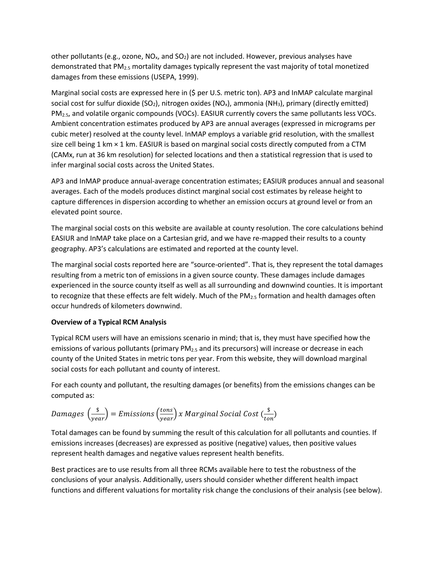other pollutants (e.g., ozone,  $NO_x$ , and  $SO_2$ ) are not included. However, previous analyses have demonstrated that PM2.5 mortality damages typically represent the vast majority of total monetized damages from these emissions (USEPA, 1999).

Marginal social costs are expressed here in (\$ per U.S. metric ton). AP3 and InMAP calculate marginal social cost for sulfur dioxide (SO<sub>2</sub>), nitrogen oxides (NO<sub>x</sub>), ammonia (NH<sub>3</sub>), primary (directly emitted) PM2.5, and volatile organic compounds (VOCs). EASIUR currently covers the same pollutants less VOCs. Ambient concentration estimates produced by AP3 are annual averages (expressed in micrograms per cubic meter) resolved at the county level. InMAP employs a variable grid resolution, with the smallest size cell being 1 km × 1 km. EASIUR is based on marginal social costs directly computed from a CTM (CAMx, run at 36 km resolution) for selected locations and then a statistical regression that is used to infer marginal social costs across the United States.

AP3 and InMAP produce annual-average concentration estimates; EASIUR produces annual and seasonal averages. Each of the models produces distinct marginal social cost estimates by release height to capture differences in dispersion according to whether an emission occurs at ground level or from an elevated point source.

The marginal social costs on this website are available at county resolution. The core calculations behind EASIUR and InMAP take place on a Cartesian grid, and we have re-mapped their results to a county geography. AP3's calculations are estimated and reported at the county level.

The marginal social costs reported here are "source-oriented". That is, they represent the total damages resulting from a metric ton of emissions in a given source county. These damages include damages experienced in the source county itself as well as all surrounding and downwind counties. It is important to recognize that these effects are felt widely. Much of the PM<sub>2.5</sub> formation and health damages often occur hundreds of kilometers downwind.

# **Overview of a Typical RCM Analysis**

Typical RCM users will have an emissions scenario in mind; that is, they must have specified how the emissions of various pollutants (primary PM<sub>2.5</sub> and its precursors) will increase or decrease in each county of the United States in metric tons per year. From this website, they will download marginal social costs for each pollutant and county of interest.

For each county and pollutant, the resulting damages (or benefits) from the emissions changes can be computed as:

*Damages* 
$$
\left(\frac{\$}{year}\right) = Emissions \left(\frac{tons}{year}\right) x Marginal Social Cost \left(\frac{\$}{ton}\right)
$$

Total damages can be found by summing the result of this calculation for all pollutants and counties. If emissions increases (decreases) are expressed as positive (negative) values, then positive values represent health damages and negative values represent health benefits.

Best practices are to use results from all three RCMs available here to test the robustness of the conclusions of your analysis. Additionally, users should consider whether different health impact functions and different valuations for mortality risk change the conclusions of their analysis (see below).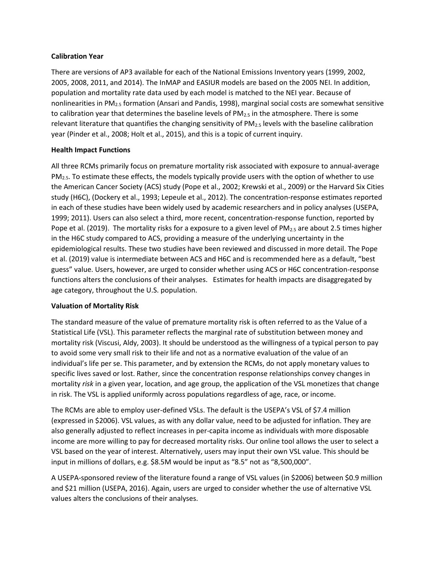### **Calibration Year**

There are versions of AP3 available for each of the National Emissions Inventory years (1999, 2002, 2005, 2008, 2011, and 2014). The InMAP and EASIUR models are based on the 2005 NEI. In addition, population and mortality rate data used by each model is matched to the NEI year. Because of nonlinearities in PM2.5 formation (Ansari and Pandis, 1998), marginal social costs are somewhat sensitive to calibration year that determines the baseline levels of  $PM_{2.5}$  in the atmosphere. There is some relevant literature that quantifies the changing sensitivity of  $PM_{2.5}$  levels with the baseline calibration year (Pinder et al., 2008; Holt et al., 2015), and this is a topic of current inquiry.

### **Health Impact Functions**

All three RCMs primarily focus on premature mortality risk associated with exposure to annual-average  $PM<sub>2.5</sub>$ . To estimate these effects, the models typically provide users with the option of whether to use the American Cancer Society (ACS) study (Pope et al., 2002; Krewski et al., 2009) or the Harvard Six Cities study (H6C), (Dockery et al., 1993; Lepeule et al., 2012). The concentration-response estimates reported in each of these studies have been widely used by academic researchers and in policy analyses (USEPA, 1999; 2011). Users can also select a third, more recent, concentration-response function, reported by Pope et al. (2019). The mortality risks for a exposure to a given level of  $PM_{2.5}$  are about 2.5 times higher in the H6C study compared to ACS, providing a measure of the underlying uncertainty in the epidemiological results. These two studies have been reviewed and discussed in more detail. The Pope et al. (2019) value is intermediate between ACS and H6C and is recommended here as a default, "best guess" value. Users, however, are urged to consider whether using ACS or H6C concentration-response functions alters the conclusions of their analyses. Estimates for health impacts are disaggregated by age category, throughout the U.S. population.

# **Valuation of Mortality Risk**

The standard measure of the value of premature mortality risk is often referred to as the Value of a Statistical Life (VSL). This parameter reflects the marginal rate of substitution between money and mortality risk (Viscusi, Aldy, 2003). It should be understood as the willingness of a typical person to pay to avoid some very small risk to their life and not as a normative evaluation of the value of an individual's life per se. This parameter, and by extension the RCMs, do not apply monetary values to specific lives saved or lost. Rather, since the concentration response relationships convey changes in mortality *risk* in a given year, location, and age group, the application of the VSL monetizes that change in risk. The VSL is applied uniformly across populations regardless of age, race, or income.

The RCMs are able to employ user-defined VSLs. The default is the USEPA's VSL of \$7.4 million (expressed in \$2006). VSL values, as with any dollar value, need to be adjusted for inflation. They are also generally adjusted to reflect increases in per-capita income as individuals with more disposable income are more willing to pay for decreased mortality risks. Our online tool allows the user to select a VSL based on the year of interest. Alternatively, users may input their own VSL value. This should be input in millions of dollars, e.g. \$8.5M would be input as "8.5" not as "8,500,000".

A USEPA-sponsored review of the literature found a range of VSL values (in \$2006) between \$0.9 million and \$21 million (USEPA, 2016). Again, users are urged to consider whether the use of alternative VSL values alters the conclusions of their analyses.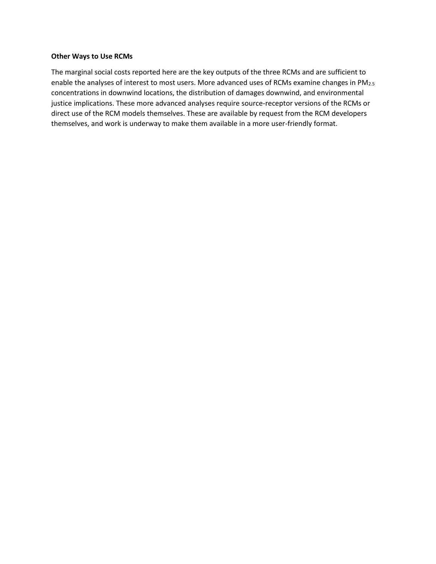#### **Other Ways to Use RCMs**

The marginal social costs reported here are the key outputs of the three RCMs and are sufficient to enable the analyses of interest to most users. More advanced uses of RCMs examine changes in PM<sub>2.5</sub> concentrations in downwind locations, the distribution of damages downwind, and environmental justice implications. These more advanced analyses require source-receptor versions of the RCMs or direct use of the RCM models themselves. These are available by request from the RCM developers themselves, and work is underway to make them available in a more user-friendly format.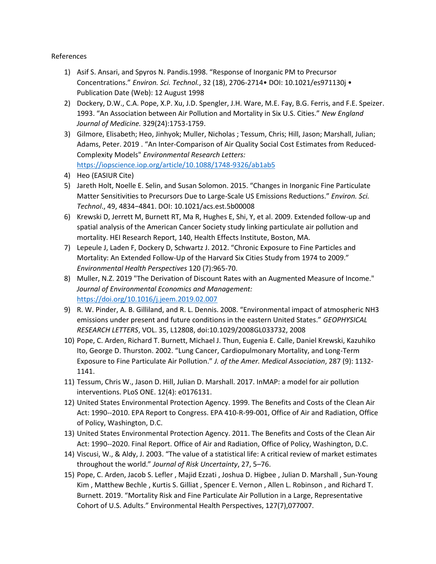References

- 1) Asif S. Ansari, and Spyros N. Pandis.1998. "Response of Inorganic PM to Precursor Concentrations." *Environ. Sci. Technol.*, 32 (18), 2706-2714• DOI: 10.1021/es971130j • Publication Date (Web): 12 August 1998
- 2) Dockery, D.W., C.A. Pope, X.P. Xu, J.D. Spengler, J.H. Ware, M.E. Fay, B.G. Ferris, and F.E. Speizer. 1993. "An Association between Air Pollution and Mortality in Six U.S. Cities." *New England Journal of Medicine.* 329(24):1753-1759.
- 3) Gilmore, Elisabeth; Heo, Jinhyok; Muller, Nicholas ; Tessum, Chris; Hill, Jason; Marshall, Julian; Adams, Peter. 2019 . "An Inter-Comparison of Air Quality Social Cost Estimates from Reduced-Complexity Models" *Environmental Research Letters:* <https://iopscience.iop.org/article/10.1088/1748-9326/ab1ab5>
- 4) Heo (EASIUR Cite)
- 5) Jareth Holt, Noelle E. Selin, and Susan Solomon. 2015. "Changes in Inorganic Fine Particulate Matter Sensitivities to Precursors Due to Large-Scale US Emissions Reductions." *Environ. Sci. Technol*., 49, 4834−4841. DOI: 10.1021/acs.est.5b00008
- 6) Krewski D, Jerrett M, Burnett RT, Ma R, Hughes E, Shi, Y, et al. 2009. Extended follow-up and spatial analysis of the American Cancer Society study linking particulate air pollution and mortality. HEI Research Report, 140, Health Effects Institute, Boston, MA.
- 7) Lepeule J, Laden F, Dockery D, Schwartz J. 2012. "Chronic Exposure to Fine Particles and Mortality: An Extended Follow-Up of the Harvard Six Cities Study from 1974 to 2009." *Environmental Health Perspectives* 120 (7):965-70.
- 8) Muller, N.Z. 2019 "The Derivation of Discount Rates with an Augmented Measure of Income." *Journal of Environmental Economics and Management:*  <https://doi.org/10.1016/j.jeem.2019.02.007>
- 9) R. W. Pinder, A. B. Gilliland, and R. L. Dennis. 2008. "Environmental impact of atmospheric NH3 emissions under present and future conditions in the eastern United States." *GEOPHYSICAL RESEARCH LETTERS*, VOL. 35, L12808, doi:10.1029/2008GL033732, 2008
- 10) Pope, C. Arden, Richard T. Burnett, Michael J. Thun, Eugenia E. Calle, Daniel Krewski, Kazuhiko Ito, George D. Thurston. 2002. "Lung Cancer, Cardiopulmonary Mortality, and Long-Term Exposure to Fine Particulate Air Pollution." *J. of the Amer. Medical Association*, 287 (9): 1132- 1141.
- 11) Tessum, Chris W., Jason D. Hill, Julian D. Marshall. 2017. InMAP: a model for air pollution interventions. PLoS ONE. 12(4): e0176131.
- 12) United States Environmental Protection Agency. 1999. The Benefits and Costs of the Clean Air Act: 1990--2010. EPA Report to Congress. EPA 410-R-99-001, Office of Air and Radiation, Office of Policy, Washington, D.C.
- 13) United States Environmental Protection Agency. 2011. The Benefits and Costs of the Clean Air Act: 1990--2020. Final Report. Office of Air and Radiation, Office of Policy, Washington, D.C.
- 14) Viscusi, W., & Aldy, J. 2003. "The value of a statistical life: A critical review of market estimates throughout the world." *Journal of Risk Uncertainty*, 27, 5–76.
- 15) Pope, C. Arden, Jacob S. Lefler , Majid Ezzati , Joshua D. Higbee , Julian D. Marshall , Sun-Young Kim , Matthew Bechle , Kurtis S. Gilliat , Spencer E. Vernon , Allen L. Robinson , and Richard T. Burnett. 2019. "Mortality Risk and Fine Particulate Air Pollution in a Large, Representative Cohort of U.S. Adults." Environmental Health Perspectives, 127(7),077007.